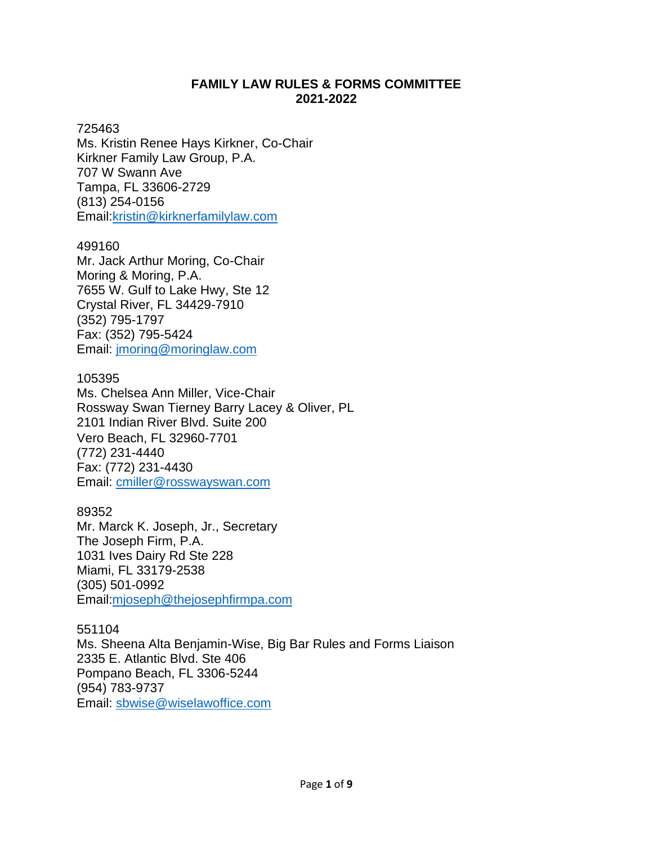## **FAMILY LAW RULES & FORMS COMMITTEE 2021-2022**

#### 725463

Ms. Kristin Renee Hays Kirkner, Co-Chair Kirkner Family Law Group, P.A. 707 W Swann Ave Tampa, FL 33606-2729 (813) [254-0156](tel:813-254-0156) Email[:kristin@kirknerfamilylaw.com](mailto:kristin@kirknerfamilylaw.com)

#### 499160

Mr. Jack Arthur Moring, Co-Chair Moring & Moring, P.A. 7655 W. Gulf to Lake Hwy, Ste 12 Crystal River, FL 34429-7910 (352) 795-1797 Fax: (352) 795-5424 Email: [jmoring@moringlaw.com](mailto:jmoring@moringlaw.com)

## 105395

Ms. Chelsea Ann Miller, Vice-Chair Rossway Swan Tierney Barry Lacey & Oliver, PL 2101 Indian River Blvd. Suite 200 Vero Beach, FL 32960-7701 (772) 231-4440 Fax: (772) 231-4430 Email: [cmiller@rosswayswan.com](mailto:cmiller@rosswayswan.com)

# 89352

Mr. Marck K. Joseph, Jr., Secretary The Joseph Firm, P.A. 1031 Ives Dairy Rd Ste 228 Miami, FL 33179-2538 (305) [501-0992](tel:305-501-0992) Email[:mjoseph@thejosephfirmpa.com](mailto:mjoseph@thejosephfirmpa.com)

551104 Ms. Sheena Alta Benjamin-Wise, Big Bar Rules and Forms Liaison 2335 E. Atlantic Blvd. Ste 406 Pompano Beach, FL 3306-5244 (954) 783-9737 Email: [sbwise@wiselawoffice.com](mailto:sbwise@wiselawoffice.com)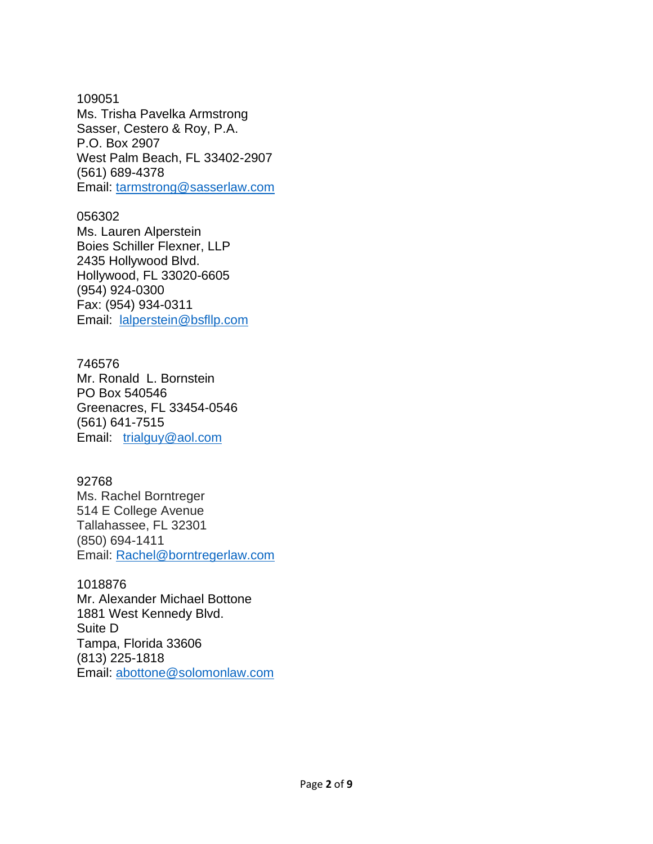109051 Ms. Trisha Pavelka Armstrong Sasser, Cestero & Roy, P.A. P.O. Box 2907 West Palm Beach, FL 33402-2907 (561) 689-4378 Email: [tarmstrong@sasserlaw.com](mailto:tarmstrong@sasserlaw.com)

056302 Ms. Lauren Alperstein Boies Schiller Flexner, LLP 2435 Hollywood Blvd. Hollywood, FL 33020-6605 (954) [924-0300](tel:954-924-0300) Fax: (954) 934-0311 Email: [lalperstein@bsfllp.com](mailto:lalperstein@bsfllp.com)

746576 Mr. Ronald L. Bornstein PO Box 540546 Greenacres, FL 33454-0546 (561) [641-7515](tel:561-641-7515) Email: [trialguy@aol.com](mailto:trialguy@aol.com)

92768 Ms. Rachel Borntreger 514 E College Avenue Tallahassee, FL 32301 (850) 694-1411 Email: [Rachel@borntregerlaw.com](mailto:Rachel@borntregerlaw.com)

1018876 Mr. Alexander Michael Bottone 1881 West Kennedy Blvd. Suite D Tampa, Florida 33606 (813) 225-1818 Email: [abottone@solomonlaw.com](mailto:abottone@solomonlaw.com)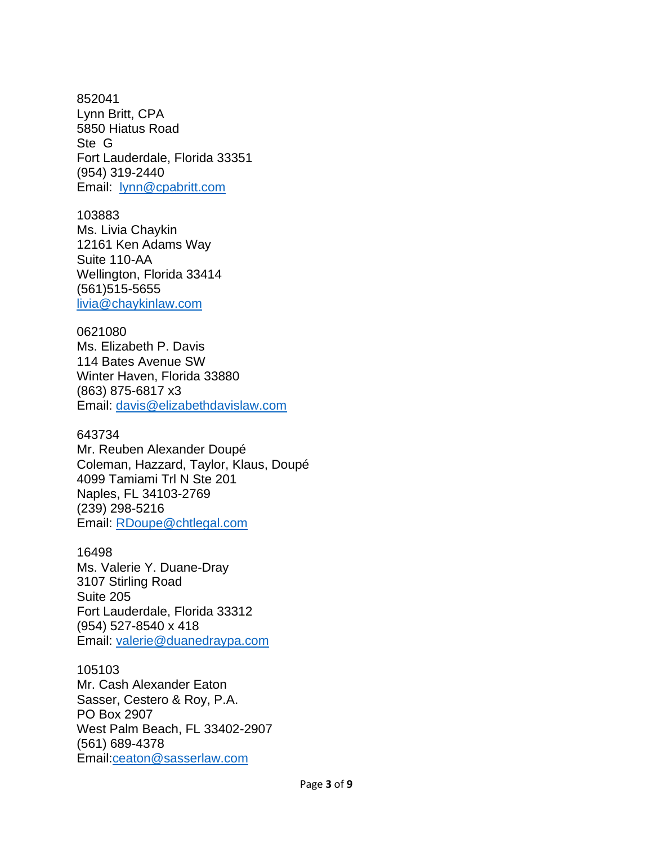852041 Lynn Britt, CPA 5850 Hiatus Road Ste G Fort Lauderdale, Florida 33351 (954) 319-2440 Email: [lynn@cpabritt.com](mailto:lynn@cpabritt.com)

103883 Ms. Livia Chaykin 12161 Ken Adams Way Suite 110-AA Wellington, Florida 33414 (561)515-5655 [livia@chaykinlaw.com](mailto:livia@chaykinlaw.com)

0621080 Ms. Elizabeth P. Davis 114 Bates Avenue SW Winter Haven, Florida 33880 (863) 875-6817 x3 Email: [davis@elizabethdavislaw.com](mailto:davis@elizabethdavislaw.com)

#### 643734

Mr. Reuben Alexander Doupé Coleman, Hazzard, Taylor, Klaus, Doupé 4099 Tamiami Trl N Ste 201 Naples, FL 34103-2769 (239) 298-5216 Email: [RDoupe@chtlegal.com](mailto:RDoupe@chtlegal.com)

16498 Ms. Valerie Y. Duane-Dray 3107 Stirling Road Suite 205 Fort Lauderdale, Florida 33312 (954) 527-8540 x 418 Email: [valerie@duanedraypa.com](mailto:valerie@duanedraypa.com)

105103

Mr. Cash Alexander Eaton Sasser, Cestero & Roy, P.A. PO Box 2907 West Palm Beach, FL 33402-2907 (561) [689-4378](tel:561-689-4378) Email[:ceaton@sasserlaw.com](mailto:ceaton@sasserlaw.com)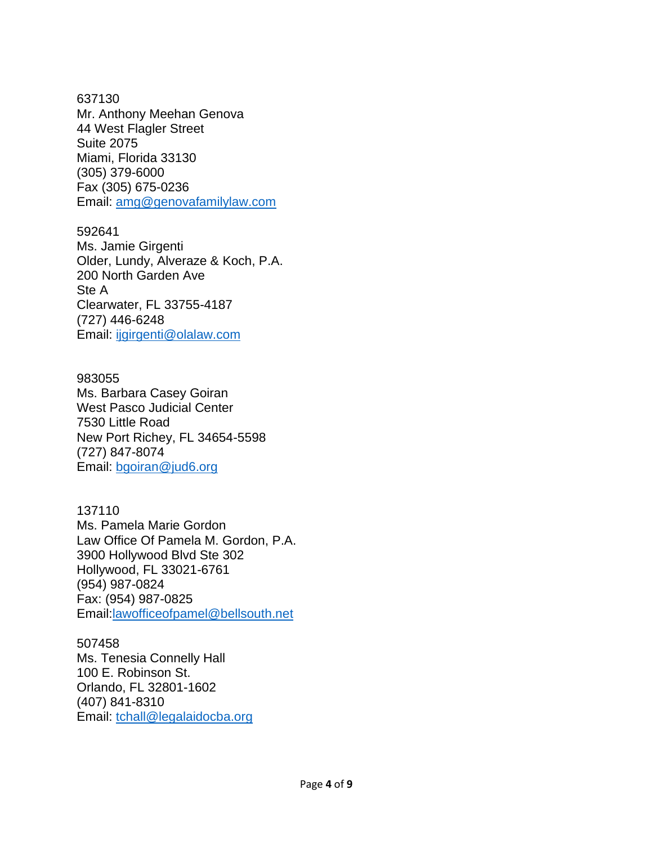637130 Mr. Anthony Meehan Genova 44 West Flagler Street Suite 2075 Miami, Florida 33130 (305) 379-6000 Fax (305) 675-0236 Email: [amg@genovafamilylaw.com](mailto:amg@genovafamilylaw.com)

592641 Ms. Jamie Girgenti Older, Lundy, Alveraze & Koch, P.A. 200 North Garden Ave Ste A Clearwater, FL 33755-4187 (727) 446-6248 Email: [ijgirgenti@olalaw.com](mailto:ijgirgenti@olalaw.com)

983055 Ms. Barbara Casey Goiran West Pasco Judicial Center 7530 Little Road New Port Richey, FL 34654-5598 (727) 847-8074 Email: [bgoiran@jud6.org](mailto:bgoiran@jud6.org)

137110 Ms. Pamela Marie Gordon Law Office Of Pamela M. Gordon, P.A. 3900 Hollywood Blvd Ste 302 Hollywood, FL 33021-6761 (954) [987-0824](tel:954-987-0824) Fax: (954) 987-0825 Email[:lawofficeofpamel@bellsouth.net](mailto:lawofficeofpamel@bellsouth.net)

507458 Ms. Tenesia Connelly Hall 100 E. Robinson St. Orlando, FL 32801-1602 (407) 841-8310 Email: [tchall@legalaidocba.org](mailto:tchall@legalaidocba.org)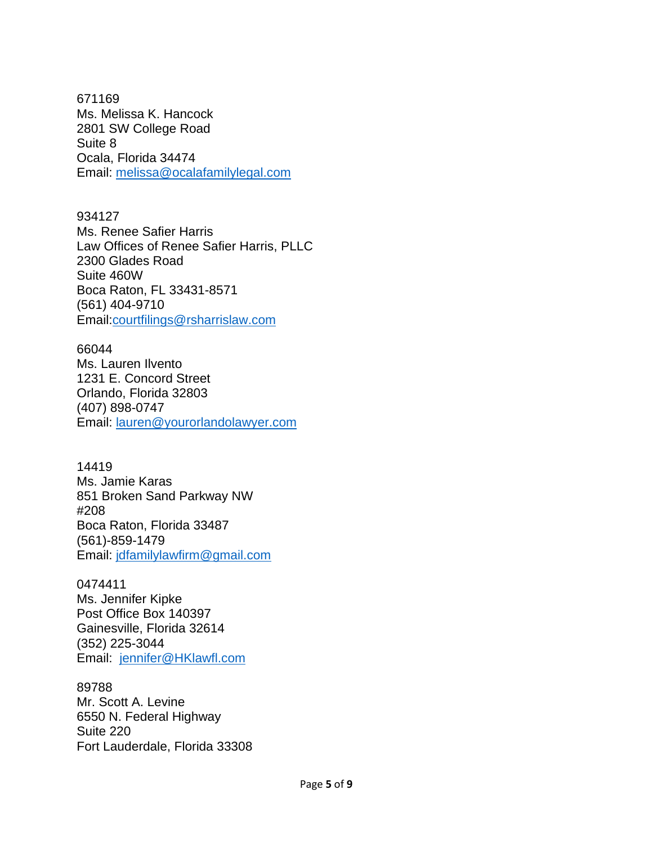671169 Ms. Melissa K. Hancock 2801 SW College Road Suite 8 Ocala, Florida 34474 Email: [melissa@ocalafamilylegal.com](mailto:melissa@ocalafamilylegal.com)

934127 Ms. Renee Safier Harris Law Offices of Renee Safier Harris, PLLC 2300 Glades Road Suite 460W Boca Raton, FL 33431-8571 (561) [404-9710](tel:561-404-9710) Email[:courtfilings@rsharrislaw.com](mailto:courtfilings@rsharrislaw.com)

66044 Ms. Lauren Ilvento 1231 E. Concord Street Orlando, Florida 32803 (407) 898-0747 Email: [lauren@yourorlandolawyer.com](mailto:lauren@yourorlandolawyer.com)

14419 Ms. Jamie Karas 851 Broken Sand Parkway NW #208 Boca Raton, Florida 33487 (561)-859-1479 Email: [jdfamilylawfirm@gmail.com](mailto:jdfamilylawfirm@gmail.com)

0474411 Ms. Jennifer Kipke Post Office Box 140397 Gainesville, Florida 32614 (352) 225-3044 Email: [jennifer@HKlawfl.com](mailto:jennifer@HKlawfl.com)

89788 Mr. Scott A. Levine 6550 N. Federal Highway Suite 220 Fort Lauderdale, Florida 33308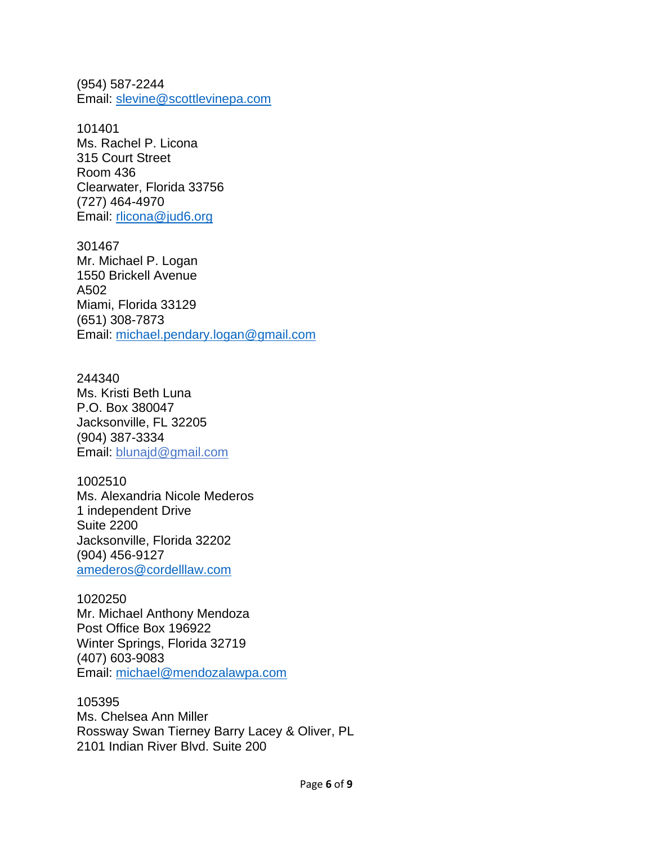(954) 587-2244 Email: [slevine@scottlevinepa.com](mailto:slevine@scottlevinepa.com)

101401 Ms. Rachel P. Licona 315 Court Street Room 436 Clearwater, Florida 33756 (727) 464-4970 Email: [rlicona@jud6.org](mailto:rlicona@jud6.org)

301467 Mr. Michael P. Logan 1550 Brickell Avenue A502 Miami, Florida 33129 (651) 308-7873 Email: [michael.pendary.logan@gmail.com](mailto:michael.pendary.logan@gmail.com)

244340 Ms. Kristi Beth Luna P.O. Box 380047 Jacksonville, FL 32205 (904) 387-3334 Email: blunajd@gmail.com

1002510 Ms. Alexandria Nicole Mederos 1 independent Drive Suite 2200 Jacksonville, Florida 32202 (904) 456-9127 [amederos@cordelllaw.com](mailto:amederos@cordelllaw.com)

1020250 Mr. Michael Anthony Mendoza Post Office Box 196922 Winter Springs, Florida 32719 (407) 603-9083 Email: [michael@mendozalawpa.com](mailto:michael@mendozalawpa.com)

105395 Ms. Chelsea Ann Miller Rossway Swan Tierney Barry Lacey & Oliver, PL 2101 Indian River Blvd. Suite 200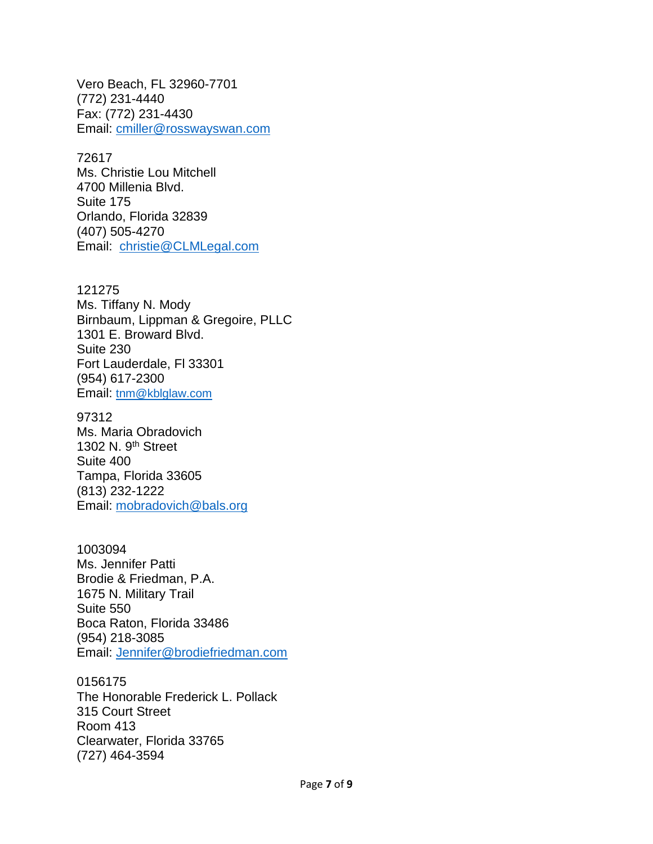Vero Beach, FL 32960-7701 (772) 231-4440 Fax: (772) 231-4430 Email: [cmiller@rosswayswan.com](mailto:cmiller@rosswayswan.com)

72617 Ms. Christie Lou Mitchell 4700 Millenia Blvd. Suite 175 Orlando, Florida 32839 (407) 505-4270 Email: [christie@CLMLegal.com](mailto:christie@CLMLegal.com)

121275 Ms. Tiffany N. Mody Birnbaum, Lippman & Gregoire, PLLC 1301 E. Broward Blvd. Suite 230 Fort Lauderdale, Fl 33301 (954) 617-2300 Email: [tnm@kblglaw.com](mailto:tnm@kblglaw.com)

97312 Ms. Maria Obradovich 1302 N. 9<sup>th</sup> Street Suite 400 Tampa, Florida 33605 (813) 232-1222 Email: [mobradovich@bals.org](mailto:mobradovich@bals.org)

1003094 Ms. Jennifer Patti Brodie & Friedman, P.A. 1675 N. Military Trail Suite 550 Boca Raton, Florida 33486 (954) 218-3085 Email: [Jennifer@brodiefriedman.com](mailto:Jennifer@brodiefriedman.com)

0156175 The Honorable Frederick L. Pollack 315 Court Street Room 413 Clearwater, Florida 33765 (727) 464-3594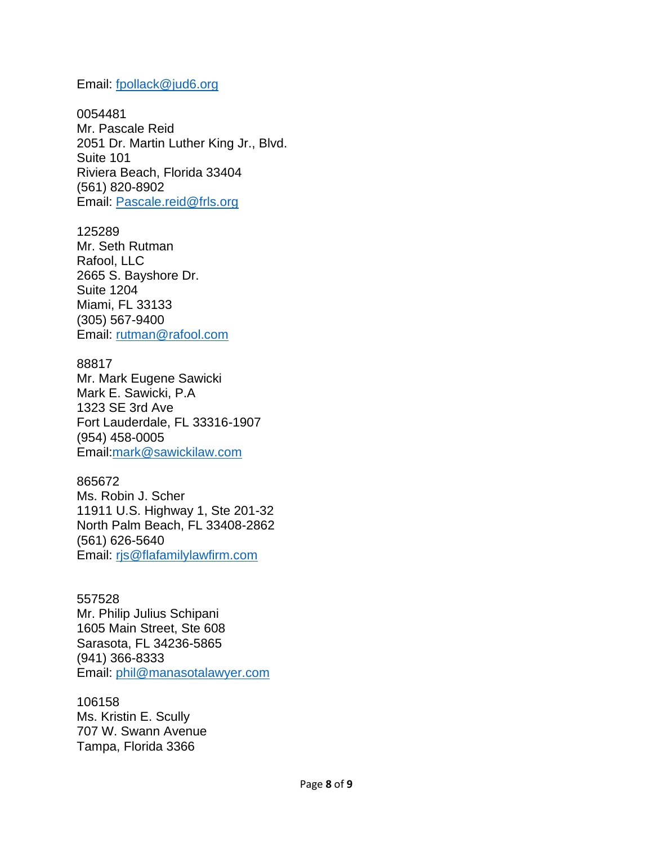Email: [fpollack@jud6.org](mailto:fpollack@jud6.org)

0054481 Mr. Pascale Reid 2051 Dr. Martin Luther King Jr., Blvd. Suite 101 Riviera Beach, Florida 33404 (561) 820-8902 Email: [Pascale.reid@frls.org](mailto:Pascale.reid@frls.org)

125289 Mr. Seth Rutman Rafool, LLC 2665 S. Bayshore Dr. Suite 1204 Miami, FL 33133 (305) 567-9400 Email: [rutman@rafool.com](mailto:rutman@rafool.com)

88817 Mr. Mark Eugene Sawicki Mark E. Sawicki, P.A 1323 SE 3rd Ave Fort Lauderdale, FL 33316-1907 (954) [458-0005](tel:954-458-0005) Email[:mark@sawickilaw.com](mailto:mark@sawickilaw.com)

865672 Ms. Robin J. Scher 11911 U.S. Highway 1, Ste 201-32 North Palm Beach, FL 33408-2862 (561) 626-5640 Email: [rjs@flafamilylawfirm.com](mailto:rjs@flafamilylawfirm.com)

557528 Mr. Philip Julius Schipani 1605 Main Street, Ste 608 Sarasota, FL 34236-5865 (941) 366-8333 Email: [phil@manasotalawyer.com](mailto:phil@manasotalawyer.com)

106158 Ms. Kristin E. Scully 707 W. Swann Avenue Tampa, Florida 3366